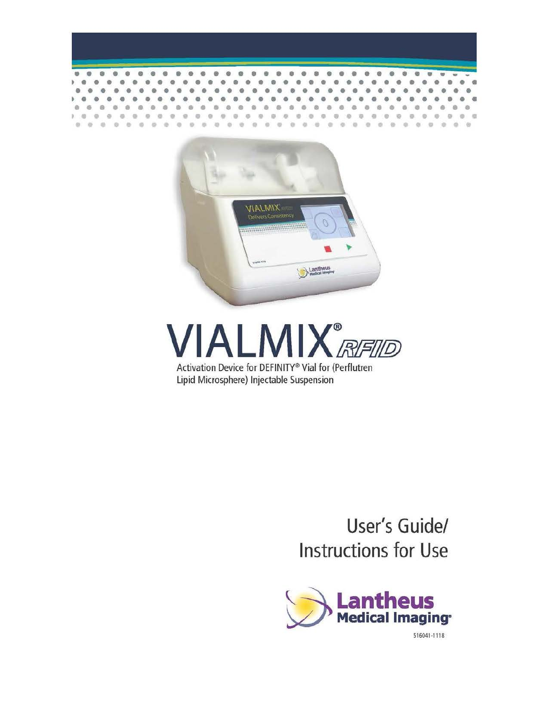



# **VIALMIX**<sup>®</sup> Activation Device for DEFINITY® Vial for (Perflutren

Lipid Microsphere) Injectable Suspension

## **User's Guide/ Instructions for Use**

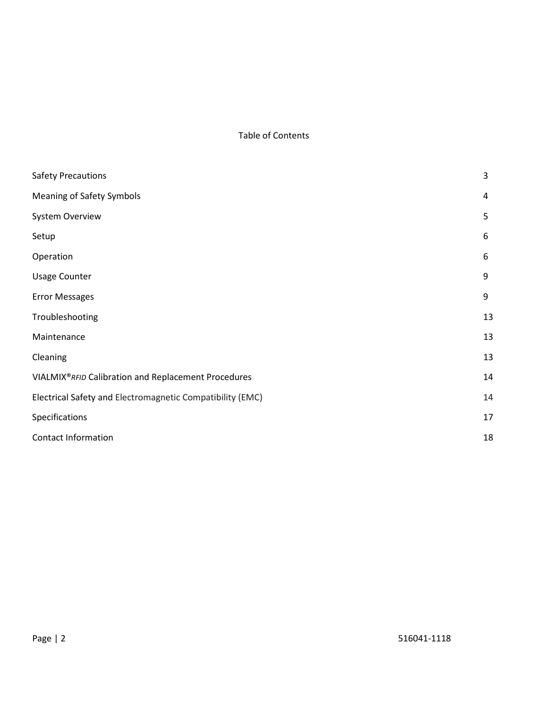#### Table of Contents

| <b>Safety Precautions</b>                                 | 3  |
|-----------------------------------------------------------|----|
| <b>Meaning of Safety Symbols</b>                          | 4  |
| System Overview                                           | 5  |
| Setup                                                     | 6  |
| Operation                                                 | 6  |
| <b>Usage Counter</b>                                      | 9  |
| <b>Error Messages</b>                                     | 9  |
| Troubleshooting                                           | 13 |
| Maintenance                                               | 13 |
| Cleaning                                                  | 13 |
| VIALMIX® RFID Calibration and Replacement Procedures      | 14 |
| Electrical Safety and Electromagnetic Compatibility (EMC) | 14 |
| Specifications                                            | 17 |
| <b>Contact Information</b>                                | 18 |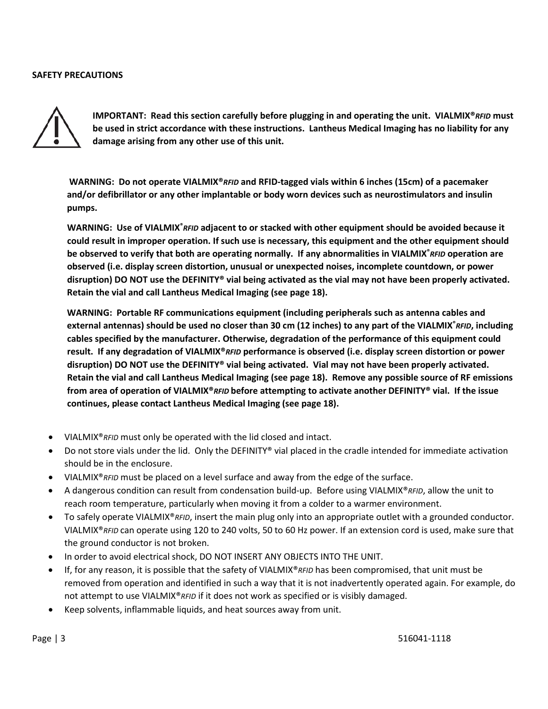#### **SAFETY PRECAUTIONS**



**IMPORTANT: Read this section carefully before plugging in and operating the unit. VIALMIX®***RFID* **must be used in strict accordance with these instructions. Lantheus Medical Imaging has no liability for any damage arising from any other use of this unit.** 

**WARNING: Do not operate VIALMIX®***RFID* **and RFID-tagged vials within 6 inches (15cm) of a pacemaker and/or defibrillator or any other implantable or body worn devices such as neurostimulators and insulin pumps.** 

WARNING: Use of VIALMIX<sup>®</sup> RFID adjacent to or stacked with other equipment should be avoided because it **could result in improper operation. If such use is necessary, this equipment and the other equipment should be observed to verify that both are operating normally. If any abnormalities in VIALMIX®** *RFID* **operation are observed (i.e. display screen distortion, unusual or unexpected noises, incomplete countdown, or power disruption) DO NOT use the DEFINITY® vial being activated as the vial may not have been properly activated. Retain the vial and call Lantheus Medical Imaging (see page 18).**

**WARNING: Portable RF communications equipment (including peripherals such as antenna cables and external antennas) should be used no closer than 30 cm (12 inches) to any part of the VIALMIX®** *RFID***, including cables specified by the manufacturer. Otherwise, degradation of the performance of this equipment could result. If any degradation of VIALMIX®***RFID* **performance is observed (i.e. display screen distortion or power disruption) DO NOT use the DEFINITY® vial being activated. Vial may not have been properly activated. Retain the vial and call Lantheus Medical Imaging (see page 18). Remove any possible source of RF emissions from area of operation of VIALMIX®***RFID* **before attempting to activate another DEFINITY® vial. If the issue continues, please contact Lantheus Medical Imaging (see page 18).**

- VIALMIX®*RFID* must only be operated with the lid closed and intact.
- Do not store vials under the lid. Only the DEFINITY® vial placed in the cradle intended for immediate activation should be in the enclosure.
- VIALMIX®*RFID* must be placed on a level surface and away from the edge of the surface.
- A dangerous condition can result from condensation build-up. Before using VIALMIX®*RFID*, allow the unit to reach room temperature, particularly when moving it from a colder to a warmer environment.
- To safely operate VIALMIX®*RFID*, insert the main plug only into an appropriate outlet with a grounded conductor. VIALMIX®*RFID* can operate using 120 to 240 volts, 50 to 60 Hz power. If an extension cord is used, make sure that the ground conductor is not broken.
- In order to avoid electrical shock, DO NOT INSERT ANY OBJECTS INTO THE UNIT.
- If, for any reason, it is possible that the safety of VIALMIX®*RFID* has been compromised, that unit must be removed from operation and identified in such a way that it is not inadvertently operated again. For example, do not attempt to use VIALMIX®*RFID* if it does not work as specified or is visibly damaged.
- Keep solvents, inflammable liquids, and heat sources away from unit.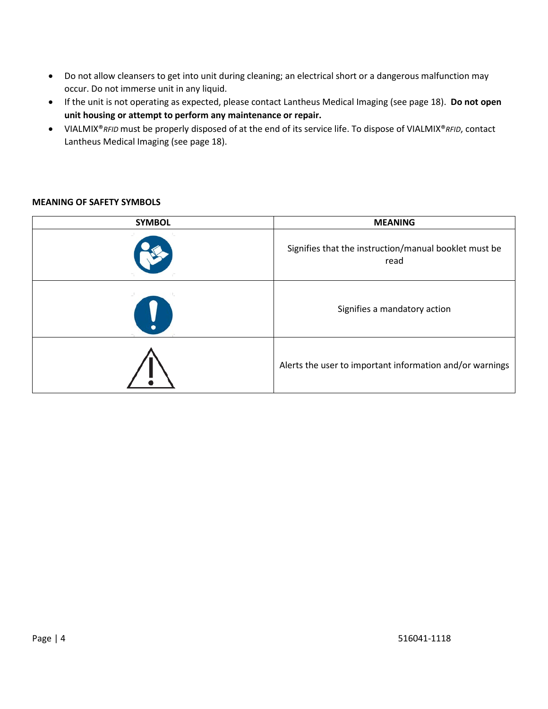- Do not allow cleansers to get into unit during cleaning; an electrical short or a dangerous malfunction may occur. Do not immerse unit in any liquid.
- If the unit is not operating as expected, please contact Lantheus Medical Imaging (see page 18). **Do not open unit housing or attempt to perform any maintenance or repair.**
- VIALMIX®*RFID* must be properly disposed of at the end of its service life. To dispose of VIALMIX®*RFID*, contact Lantheus Medical Imaging (see page 18).

#### **MEANING OF SAFETY SYMBOLS**

| <b>SYMBOL</b> | <b>MEANING</b>                                                |
|---------------|---------------------------------------------------------------|
|               | Signifies that the instruction/manual booklet must be<br>read |
| V             | Signifies a mandatory action                                  |
|               | Alerts the user to important information and/or warnings      |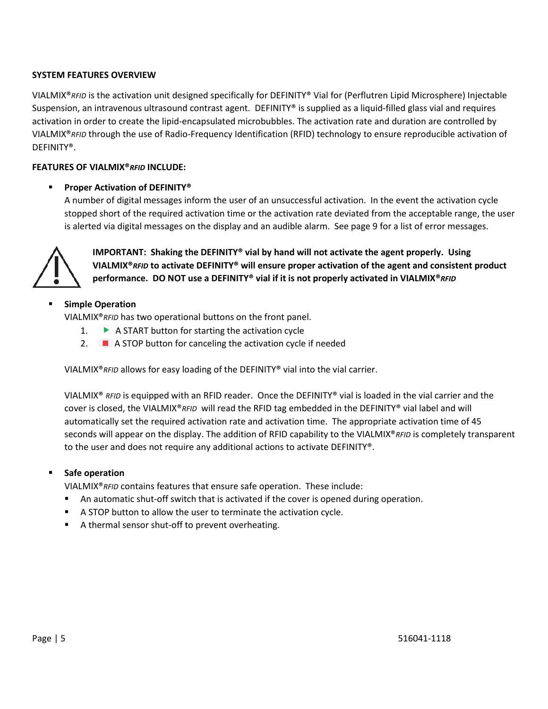#### **SYSTEM FEATURES OVERVIEW**

VIALMIX®*RFID* is the activation unit designed specifically for DEFINITY® Vial for (Perflutren Lipid Microsphere) Injectable Suspension, an intravenous ultrasound contrast agent. DEFINITY® is supplied as a liquid-filled glass vial and requires activation in order to create the lipid-encapsulated microbubbles. The activation rate and duration are controlled by VIALMIX®*RFID* through the use of Radio-Frequency Identification (RFID) technology to ensure reproducible activation of DEFINITY®.

#### **FEATURES OF VIALMIX®***RFID* **INCLUDE:**

#### **Proper Activation of DEFINITY®**

A number of digital messages inform the user of an unsuccessful activation. In the event the activation cycle stopped short of the required activation time or the activation rate deviated from the acceptable range, the user is alerted via digital messages on the display and an audible alarm. See page 9 for a list of error messages.



**IMPORTANT: Shaking the DEFINITY® vial by hand will not activate the agent properly. Using VIALMIX®***RFID* **to activate DEFINITY® will ensure proper activation of the agent and consistent product performance. DO NOT use a DEFINITY® vial if it is not properly activated in VIALMIX®***RFID*

#### **Simple Operation**

VIALMIX®*RFID* has two operational buttons on the front panel.

- 1.  $\bullet$  A START button for starting the activation cycle
- 2.  $\Box$  A STOP button for canceling the activation cycle if needed

VIALMIX®*RFID* allows for easy loading of the DEFINITY® vial into the vial carrier.

VIALMIX® *RFID* is equipped with an RFID reader. Once the DEFINITY® vial is loaded in the vial carrier and the cover is closed, the VIALMIX®*RFID* will read the RFID tag embedded in the DEFINITY® vial label and will automatically set the required activation rate and activation time. The appropriate activation time of 45 seconds will appear on the display. The addition of RFID capability to the VIALMIX®*RFID* is completely transparent to the user and does not require any additional actions to activate DEFINITY®.

#### **Safe operation**

VIALMIX®*RFID* contains features that ensure safe operation. These include:

- An automatic shut-off switch that is activated if the cover is opened during operation.
- A STOP button to allow the user to terminate the activation cycle.
- A thermal sensor shut-off to prevent overheating.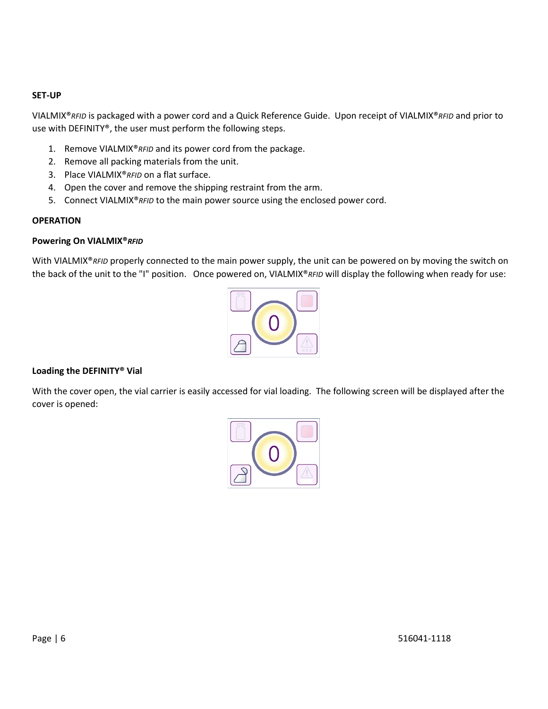#### **SET-UP**

VIALMIX®*RFID* is packaged with a power cord and a Quick Reference Guide. Upon receipt of VIALMIX®*RFID* and prior to use with DEFINITY®, the user must perform the following steps.

- 1. Remove VIALMIX®*RFID* and its power cord from the package.
- 2. Remove all packing materials from the unit.
- 3. Place VIALMIX®*RFID* on a flat surface.
- 4. Open the cover and remove the shipping restraint from the arm.
- 5. Connect VIALMIX®*RFID* to the main power source using the enclosed power cord.

#### **OPERATION**

#### **Powering On VIALMIX®***RFID*

With VIALMIX<sup>®</sup>RFID properly connected to the main power supply, the unit can be powered on by moving the switch on the back of the unit to the "I" position. Once powered on, VIALMIX®*RFID* will display the following when ready for use:



#### **Loading the DEFINITY® Vial**

With the cover open, the vial carrier is easily accessed for vial loading. The following screen will be displayed after the cover is opened:

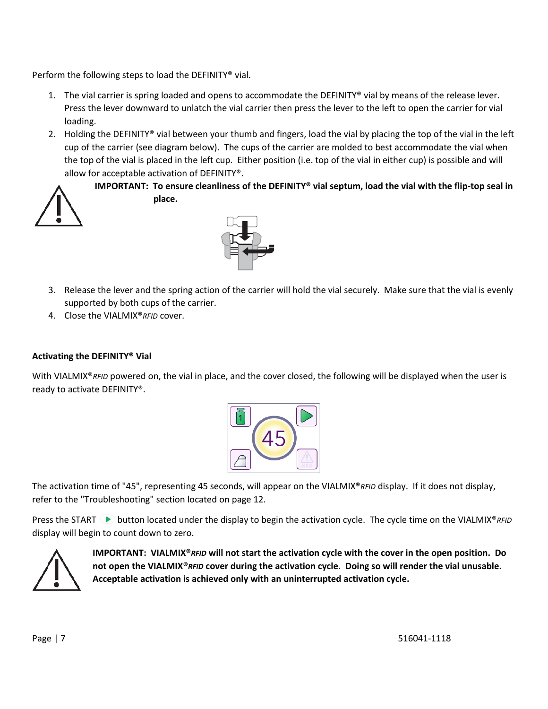Perform the following steps to load the DEFINITY® vial.

- 1. The vial carrier is spring loaded and opens to accommodate the DEFINITY® vial by means of the release lever. Press the lever downward to unlatch the vial carrier then press the lever to the left to open the carrier for vial loading.
- 2. Holding the DEFINITY® vial between your thumb and fingers, load the vial by placing the top of the vial in the left cup of the carrier (see diagram below). The cups of the carrier are molded to best accommodate the vial when the top of the vial is placed in the left cup. Either position (i.e. top of the vial in either cup) is possible and will allow for acceptable activation of DEFINITY®.



**IMPORTANT: To ensure cleanliness of the DEFINITY® vial septum, load the vial with the flip-top seal in place.**



- 3. Release the lever and the spring action of the carrier will hold the vial securely. Make sure that the vial is evenly supported by both cups of the carrier.
- 4. Close the VIALMIX®*RFID* cover.

#### **Activating the DEFINITY® Vial**

With VIALMIX<sup>®</sup>RFID powered on, the vial in place, and the cover closed, the following will be displayed when the user is ready to activate DEFINITY®.



The activation time of "45", representing 45 seconds, will appear on the VIALMIX®*RFID* display. If it does not display, refer to the "Troubleshooting" section located on page 12.

Press the START ► button located under the display to begin the activation cycle. The cycle time on the VIALMIX<sup>®</sup>*RFID* display will begin to count down to zero.



**IMPORTANT: VIALMIX®***RFID* **will not start the activation cycle with the cover in the open position. Do not open the VIALMIX®***RFID* **cover during the activation cycle. Doing so will render the vial unusable. Acceptable activation is achieved only with an uninterrupted activation cycle.**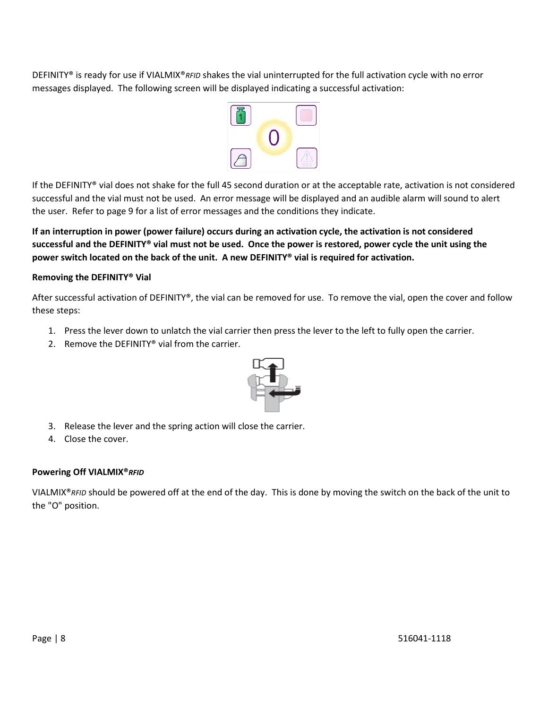DEFINITY® is ready for use if VIALMIX®*RFID* shakes the vial uninterrupted for the full activation cycle with no error messages displayed. The following screen will be displayed indicating a successful activation:



If the DEFINITY® vial does not shake for the full 45 second duration or at the acceptable rate, activation is not considered successful and the vial must not be used. An error message will be displayed and an audible alarm will sound to alert the user. Refer to page 9 for a list of error messages and the conditions they indicate.

**If an interruption in power (power failure) occurs during an activation cycle, the activation is not considered successful and the DEFINITY® vial must not be used. Once the power is restored, power cycle the unit using the power switch located on the back of the unit. A new DEFINITY® vial is required for activation.**

#### **Removing the DEFINITY® Vial**

After successful activation of DEFINITY®, the vial can be removed for use. To remove the vial, open the cover and follow these steps:

- 1. Press the lever down to unlatch the vial carrier then press the lever to the left to fully open the carrier.
- 2. Remove the DEFINITY® vial from the carrier.



- 3. Release the lever and the spring action will close the carrier.
- 4. Close the cover.

#### **Powering Off VIALMIX®***RFID*

VIALMIX®*RFID* should be powered off at the end of the day. This is done by moving the switch on the back of the unit to the "O" position.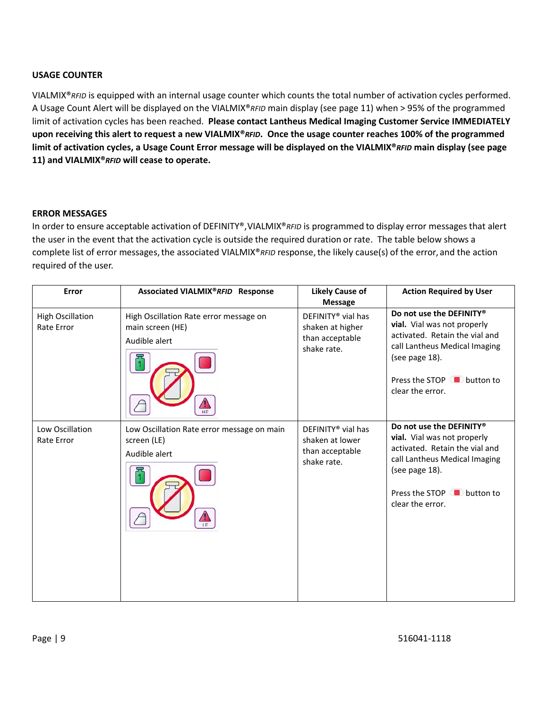#### **USAGE COUNTER**

VIALMIX®*RFID* is equipped with an internal usage counter which counts the total number of activation cycles performed. A Usage Count Alert will be displayed on the VIALMIX®*RFID* main display (see page 11) when > 95% of the programmed limit of activation cycles has been reached. **Please contact Lantheus Medical Imaging Customer Service IMMEDIATELY upon receiving this alert to request a new VIALMIX®***RFID***. Once the usage counter reaches 100% of the programmed limit of activation cycles, a Usage Count Error message will be displayed on the VIALMIX®***RFID* **main display (see page 11) and VIALMIX®***RFID* **will cease to operate.** 

#### **ERROR MESSAGES**

In order to ensure acceptable activation of DEFINITY®, VIALMIX®*RFID* is programmed to display error messages that alert the user in the event that the activation cycle is outside the required duration or rate. The table below shows a complete list of error messages, the associated VIALMIX®*RFID* response, the likely cause(s) of the error, and the action required of the user.

| Error                                 | Associated VIALMIX®RFID Response                                            | <b>Likely Cause of</b><br><b>Message</b>                                             | <b>Action Required by User</b>                                                                                                                                                                 |
|---------------------------------------|-----------------------------------------------------------------------------|--------------------------------------------------------------------------------------|------------------------------------------------------------------------------------------------------------------------------------------------------------------------------------------------|
| <b>High Oscillation</b><br>Rate Error | High Oscillation Rate error message on<br>main screen (HE)<br>Audible alert | DEFINITY <sup>®</sup> vial has<br>shaken at higher<br>than acceptable<br>shake rate. | Do not use the DEFINITY®<br>vial. Vial was not properly<br>activated. Retain the vial and<br>call Lantheus Medical Imaging<br>(see page 18).<br>Press the STOP ■ button to<br>clear the error. |
| Low Oscillation<br>Rate Error         | Low Oscillation Rate error message on main<br>screen (LE)<br>Audible alert  | DEFINITY <sup>®</sup> vial has<br>shaken at lower<br>than acceptable<br>shake rate.  | Do not use the DEFINITY®<br>vial. Vial was not properly<br>activated. Retain the vial and<br>call Lantheus Medical Imaging<br>(see page 18).<br>Press the STOP ■ button to<br>clear the error. |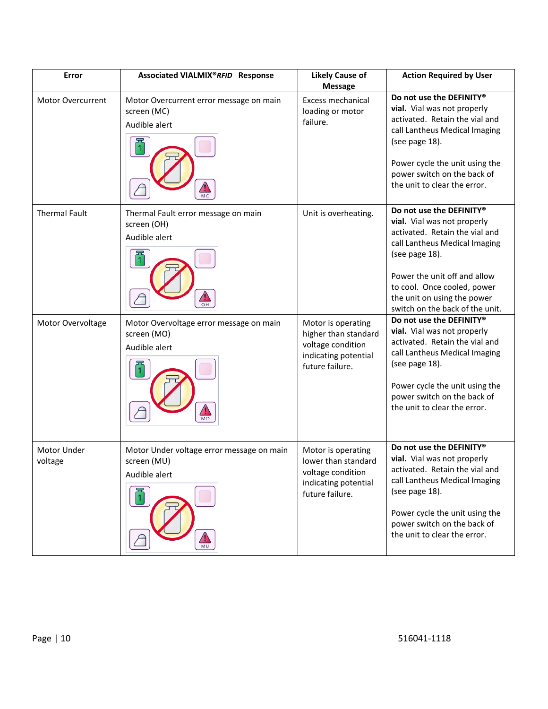| Error                    | Associated VIALMIX®RFID Response                                                                  | <b>Likely Cause of</b><br><b>Message</b>                                                                   | <b>Action Required by User</b>                                                                                                                                                                                                                                                |
|--------------------------|---------------------------------------------------------------------------------------------------|------------------------------------------------------------------------------------------------------------|-------------------------------------------------------------------------------------------------------------------------------------------------------------------------------------------------------------------------------------------------------------------------------|
| <b>Motor Overcurrent</b> | Motor Overcurrent error message on main<br>screen (MC)<br>Audible alert                           | Excess mechanical<br>loading or motor<br>failure.                                                          | Do not use the DEFINITY®<br>vial. Vial was not properly<br>activated. Retain the vial and<br>call Lantheus Medical Imaging<br>(see page 18).<br>Power cycle the unit using the<br>power switch on the back of<br>the unit to clear the error.                                 |
| <b>Thermal Fault</b>     | Unit is overheating.<br>Thermal Fault error message on main<br>screen (OH)<br>Audible alert<br>OH |                                                                                                            | Do not use the DEFINITY®<br>vial. Vial was not properly<br>activated. Retain the vial and<br>call Lantheus Medical Imaging<br>(see page 18).<br>Power the unit off and allow<br>to cool. Once cooled, power<br>the unit on using the power<br>switch on the back of the unit. |
| Motor Overvoltage        | Motor Overvoltage error message on main<br>screen (MO)<br>Audible alert<br><b>MO</b>              | Motor is operating<br>higher than standard<br>voltage condition<br>indicating potential<br>future failure. | Do not use the DEFINITY®<br>vial. Vial was not properly<br>activated. Retain the vial and<br>call Lantheus Medical Imaging<br>(see page 18).<br>Power cycle the unit using the<br>power switch on the back of<br>the unit to clear the error.                                 |
| Motor Under<br>voltage   | Motor Under voltage error message on main<br>screen (MU)<br>Audible alert<br>MU                   | Motor is operating<br>lower than standard<br>voltage condition<br>indicating potential<br>future failure.  | Do not use the DEFINITY®<br>vial. Vial was not properly<br>activated. Retain the vial and<br>call Lantheus Medical Imaging<br>(see page 18).<br>Power cycle the unit using the<br>power switch on the back of<br>the unit to clear the error.                                 |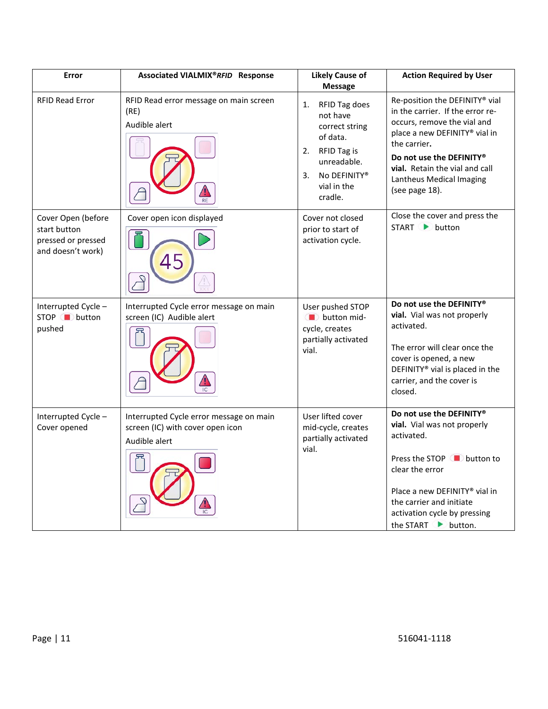| Error                                                                         | Associated VIALMIX®RFID Response                                                             | <b>Likely Cause of</b><br><b>Message</b>                                                                                                          | <b>Action Required by User</b>                                                                                                                                                                                                                                        |
|-------------------------------------------------------------------------------|----------------------------------------------------------------------------------------------|---------------------------------------------------------------------------------------------------------------------------------------------------|-----------------------------------------------------------------------------------------------------------------------------------------------------------------------------------------------------------------------------------------------------------------------|
| <b>RFID Read Error</b>                                                        | RFID Read error message on main screen<br>(RE)<br>Audible alert                              | RFID Tag does<br>1.<br>not have<br>correct string<br>of data.<br>RFID Tag is<br>2.<br>unreadable.<br>No DEFINITY®<br>3.<br>vial in the<br>cradle. | Re-position the DEFINITY® vial<br>in the carrier. If the error re-<br>occurs, remove the vial and<br>place a new DEFINITY® vial in<br>the carrier.<br>Do not use the DEFINITY®<br><b>vial.</b> Retain the vial and call<br>Lantheus Medical Imaging<br>(see page 18). |
| Cover Open (before<br>start button<br>pressed or pressed<br>and doesn't work) | Cover open icon displayed<br>45                                                              | Cover not closed<br>prior to start of<br>activation cycle.                                                                                        | Close the cover and press the<br>START ▶ button                                                                                                                                                                                                                       |
| Interrupted Cycle -<br>STOP button<br>pushed                                  | Interrupted Cycle error message on main<br>screen (IC) Audible alert                         | User pushed STOP<br>button mid-<br>cycle, creates<br>partially activated<br>vial.                                                                 | Do not use the DEFINITY®<br>vial. Vial was not properly<br>activated.<br>The error will clear once the<br>cover is opened, a new<br>DEFINITY <sup>®</sup> vial is placed in the<br>carrier, and the cover is<br>closed.                                               |
| Interrupted Cycle -<br>Cover opened                                           | Interrupted Cycle error message on main<br>screen (IC) with cover open icon<br>Audible alert | User lifted cover<br>mid-cycle, creates<br>partially activated<br>vial.                                                                           | Do not use the DEFINITY®<br>vial. Vial was not properly<br>activated.<br>Press the STOP ◯ button to<br>clear the error<br>Place a new DEFINITY® vial in<br>the carrier and initiate<br>activation cycle by pressing<br>the START button.                              |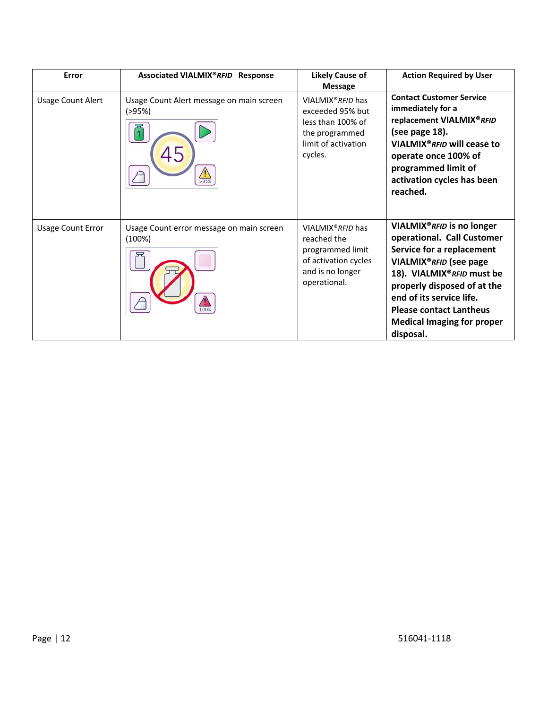| Error                    | Associated VIALMIX®RFID Response                           | <b>Likely Cause of</b><br><b>Message</b>                                                                                     | <b>Action Required by User</b>                                                                                                                                                                                                                                                                                       |
|--------------------------|------------------------------------------------------------|------------------------------------------------------------------------------------------------------------------------------|----------------------------------------------------------------------------------------------------------------------------------------------------------------------------------------------------------------------------------------------------------------------------------------------------------------------|
| <b>Usage Count Alert</b> | Usage Count Alert message on main screen<br>(>95%)<br>>95% | VIALMIX <sup>®</sup> RFID has<br>exceeded 95% but<br>less than 100% of<br>the programmed<br>limit of activation<br>cycles.   | <b>Contact Customer Service</b><br>immediately for a<br>replacement VIALMIX®RFID<br>(see page 18).<br>VIALMIX <sup>®</sup> RFID will cease to<br>operate once 100% of<br>programmed limit of<br>activation cycles has been<br>reached.                                                                               |
| <b>Usage Count Error</b> | Usage Count error message on main screen<br>(100%)         | VIALMIX <sup>®</sup> RFID has<br>reached the<br>programmed limit<br>of activation cycles<br>and is no longer<br>operational. | VIALMIX <sup>®</sup> RFID is no longer<br>operational. Call Customer<br>Service for a replacement<br>VIALMIX <sup>®</sup> RFID (see page<br>18). VIALMIX®RFID must be<br>properly disposed of at the<br>end of its service life.<br><b>Please contact Lantheus</b><br><b>Medical Imaging for proper</b><br>disposal. |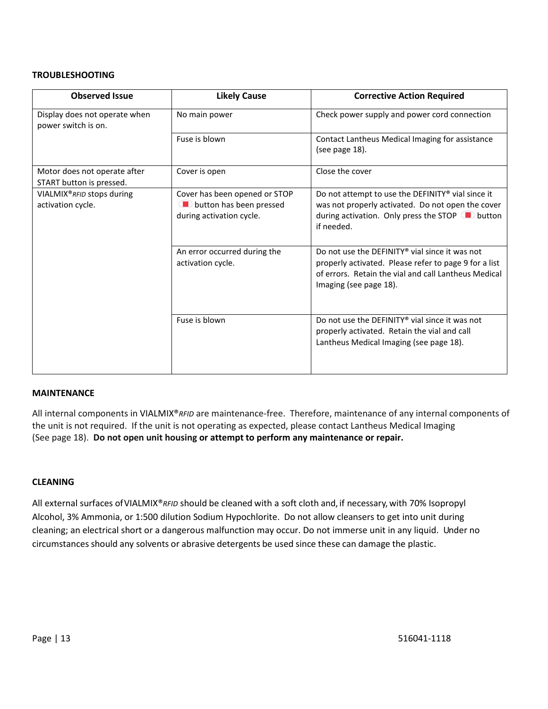#### **TROUBLESHOOTING**

| <b>Observed Issue</b>                                    | <b>Likely Cause</b>                                                                  | <b>Corrective Action Required</b>                                                                                                                                                         |
|----------------------------------------------------------|--------------------------------------------------------------------------------------|-------------------------------------------------------------------------------------------------------------------------------------------------------------------------------------------|
| Display does not operate when<br>power switch is on.     | No main power                                                                        | Check power supply and power cord connection                                                                                                                                              |
|                                                          | Fuse is blown                                                                        | Contact Lantheus Medical Imaging for assistance<br>(see page 18).                                                                                                                         |
| Motor does not operate after<br>START button is pressed. | Cover is open                                                                        | Close the cover                                                                                                                                                                           |
| VIALMIX®RFID stops during<br>activation cycle.           | Cover has been opened or STOP<br>button has been pressed<br>during activation cycle. | Do not attempt to use the DEFINITY® vial since it<br>was not properly activated. Do not open the cover<br>during activation. Only press the STOP D button<br>if needed.                   |
|                                                          | An error occurred during the<br>activation cycle.                                    | Do not use the DEFINITY® vial since it was not<br>properly activated. Please refer to page 9 for a list<br>of errors. Retain the vial and call Lantheus Medical<br>Imaging (see page 18). |
|                                                          | Fuse is blown                                                                        | Do not use the DEFINITY® vial since it was not<br>properly activated. Retain the vial and call<br>Lantheus Medical Imaging (see page 18).                                                 |

#### **MAINTENANCE**

All internal components in VIALMIX®*RFID* are maintenance-free. Therefore, maintenance of any internal components of the unit is not required. If the unit is not operating as expected, please contact Lantheus Medical Imaging (See page 18). **Do not open unit housing or attempt to perform any maintenance or repair.**

#### **CLEANING**

All external surfaces ofVIALMIX®*RFID* should be cleaned with a soft cloth and, if necessary, with 70% Isopropyl Alcohol, 3% Ammonia, or 1:500 dilution Sodium Hypochlorite. Do not allow cleansers to get into unit during cleaning; an electrical short or a dangerous malfunction may occur. Do not immerse unit in any liquid. Under no circumstances should any solvents or abrasive detergents be used since these can damage the plastic.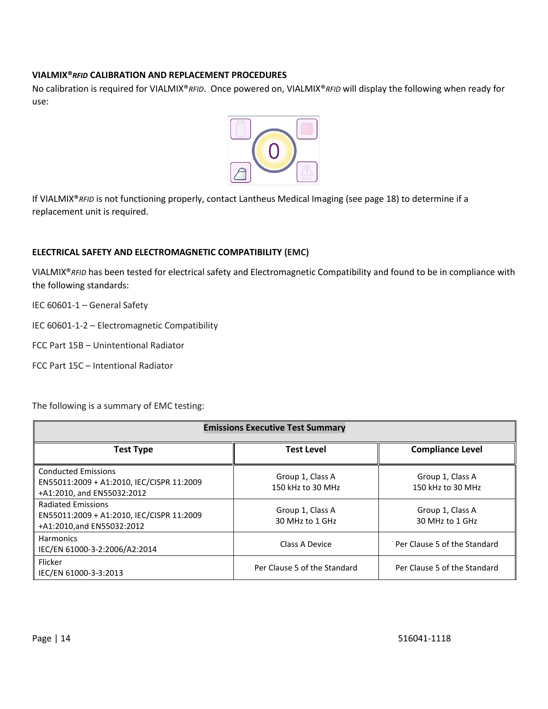#### **VIALMIX®***RFID* **CALIBRATION AND REPLACEMENT PROCEDURES**

No calibration is required for VIALMIX®*RFID*. Once powered on, VIALMIX®*RFID* will display the following when ready for use:



If VIALMIX®*RFID* is not functioning properly, contact Lantheus Medical Imaging (see page 18) to determine if a replacement unit is required.

#### **ELECTRICAL SAFETY AND ELECTROMAGNETIC COMPATIBILITY (EMC)**

VIALMIX®*RFID* has been tested for electrical safety and Electromagnetic Compatibility and found to be in compliance with the following standards:

IEC 60601-1 – General Safety

IEC 60601-1-2 – Electromagnetic Compatibility

- FCC Part 15B Unintentional Radiator
- FCC Part 15C Intentional Radiator

The following is a summary of EMC testing:

| <b>Emissions Executive Test Summary</b>                                                               |                                       |                                       |
|-------------------------------------------------------------------------------------------------------|---------------------------------------|---------------------------------------|
| <b>Test Type</b>                                                                                      | <b>Test Level</b>                     | <b>Compliance Level</b>               |
| <b>Conducted Emissions</b><br>EN55011:2009 + A1:2010, IEC/CISPR 11:2009<br>+A1:2010, and EN55032:2012 | Group 1, Class A<br>150 kHz to 30 MHz | Group 1, Class A<br>150 kHz to 30 MHz |
| <b>Radiated Emissions</b><br>EN55011:2009 + A1:2010, IEC/CISPR 11:2009<br>+A1:2010,and EN55032:2012   | Group 1, Class A<br>30 MHz to 1 GHz   | Group 1, Class A<br>30 MHz to 1 GHz   |
| <b>Harmonics</b><br>IEC/EN 61000-3-2:2006/A2:2014                                                     | Class A Device                        | Per Clause 5 of the Standard          |
| Flicker<br>IEC/EN 61000-3-3:2013                                                                      | Per Clause 5 of the Standard          | Per Clause 5 of the Standard          |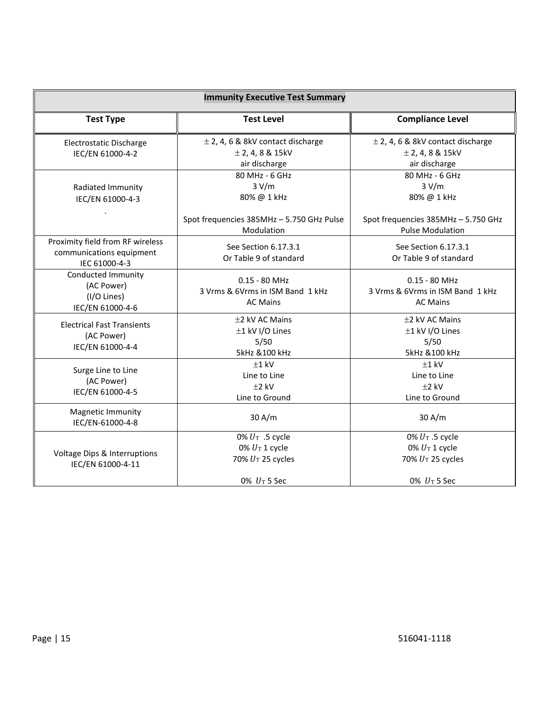| <b>Immunity Executive Test Summary</b>                                        |                                                                              |                                                                                |  |
|-------------------------------------------------------------------------------|------------------------------------------------------------------------------|--------------------------------------------------------------------------------|--|
| <b>Test Type</b>                                                              | <b>Test Level</b><br><b>Compliance Level</b>                                 |                                                                                |  |
| Electrostatic Discharge<br>IEC/EN 61000-4-2                                   | $\pm$ 2, 4, 6 & 8kV contact discharge<br>$±$ 2, 4, 8 & 15kV<br>air discharge | $\pm$ 2, 4, 6 & 8kV contact discharge<br>$±$ 2, 4, 8 & 15kV<br>air discharge   |  |
| Radiated Immunity<br>IEC/EN 61000-4-3                                         | 80 MHz - 6 GHz<br>3 V/m<br>80% @ 1 kHz                                       | 80 MHz - 6 GHz<br>3 V/m<br>80% @ 1 kHz                                         |  |
|                                                                               | Spot frequencies 385MHz - 5.750 GHz Pulse<br>Modulation                      | Spot frequencies 385MHz - 5.750 GHz<br><b>Pulse Modulation</b>                 |  |
| Proximity field from RF wireless<br>communications equipment<br>IEC 61000-4-3 | See Section 6.17.3.1<br>Or Table 9 of standard                               | See Section 6.17.3.1<br>Or Table 9 of standard                                 |  |
| Conducted Immunity<br>(AC Power)<br>(I/O Lines)<br>IEC/EN 61000-4-6           | $0.15 - 80$ MHz<br>3 Vrms & 6Vrms in ISM Band 1 kHz<br><b>AC Mains</b>       | $0.15 - 80$ MHz<br>3 Vrms & 6Vrms in ISM Band 1 kHz<br><b>AC Mains</b>         |  |
| <b>Electrical Fast Transients</b><br>(AC Power)<br>IEC/EN 61000-4-4           | ±2 kV AC Mains<br>±1 kV I/O Lines<br>5/50<br>5kHz & 100 kHz                  | ±2 kV AC Mains<br>±1 kV I/O Lines<br>5/50<br>5kHz & 100 kHz                    |  |
| Surge Line to Line<br>(AC Power)<br>IEC/EN 61000-4-5                          | $±1$ kV<br>Line to Line<br>$±2$ kV<br>Line to Ground                         | $±1$ kV<br>Line to Line<br>$±2$ kV<br>Line to Ground                           |  |
| Magnetic Immunity<br>IEC/EN-61000-4-8                                         | 30 A/m                                                                       | 30 A/m                                                                         |  |
| Voltage Dips & Interruptions<br>IEC/EN 61000-4-11                             | 0% $U_T$ .5 cycle<br>0% $U_T$ 1 cycle<br>70% UT 25 cycles<br>0% $U_T$ 5 Sec  | 0% $U_T$ .5 cycle<br>0% $U_T$ 1 cycle<br>70% $U_T$ 25 cycles<br>0% $U_T$ 5 Sec |  |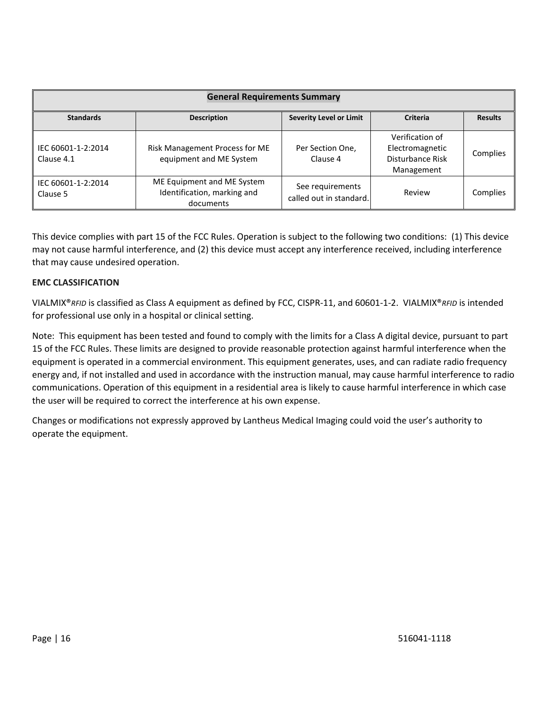| <b>General Requirements Summary</b> |                                                                        |                                             |                                                                      |                |
|-------------------------------------|------------------------------------------------------------------------|---------------------------------------------|----------------------------------------------------------------------|----------------|
| <b>Standards</b>                    | <b>Description</b>                                                     | <b>Severity Level or Limit</b>              | Criteria                                                             | <b>Results</b> |
| IEC 60601-1-2:2014<br>Clause 4.1    | Risk Management Process for ME<br>equipment and ME System              | Per Section One,<br>Clause 4                | Verification of<br>Electromagnetic<br>Disturbance Risk<br>Management | Complies       |
| IEC 60601-1-2:2014<br>Clause 5      | ME Equipment and ME System<br>Identification, marking and<br>documents | See requirements<br>called out in standard. | Review                                                               | Complies       |

This device complies with part 15 of the FCC Rules. Operation is subject to the following two conditions: (1) This device may not cause harmful interference, and (2) this device must accept any interference received, including interference that may cause undesired operation.

#### **EMC CLASSIFICATION**

VIALMIX®*RFID* is classified as Class A equipment as defined by FCC, CISPR-11, and 60601-1-2. VIALMIX®*RFID* is intended for professional use only in a hospital or clinical setting.

Note: This equipment has been tested and found to comply with the limits for a Class A digital device, pursuant to part 15 of the FCC Rules. These limits are designed to provide reasonable protection against harmful interference when the equipment is operated in a commercial environment. This equipment generates, uses, and can radiate radio frequency energy and, if not installed and used in accordance with the instruction manual, may cause harmful interference to radio communications. Operation of this equipment in a residential area is likely to cause harmful interference in which case the user will be required to correct the interference at his own expense.

Changes or modifications not expressly approved by Lantheus Medical Imaging could void the user's authority to operate the equipment.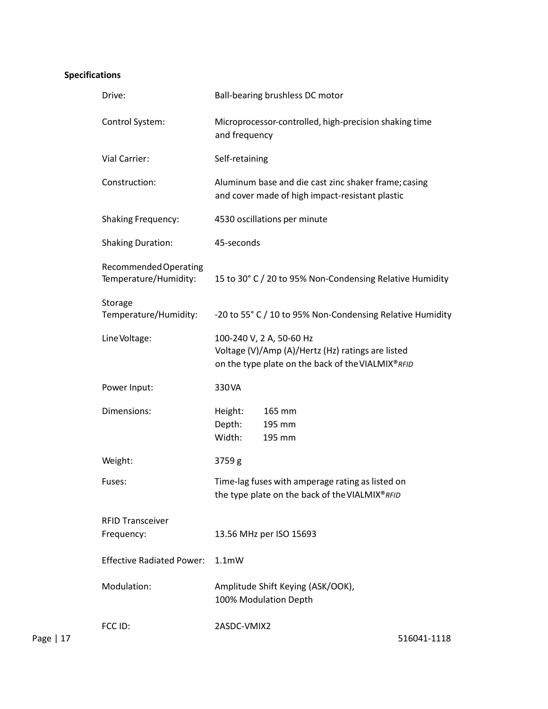### **Specifications**

|             | Drive:                                         | Ball-bearing brushless DC motor                                                                                                    |
|-------------|------------------------------------------------|------------------------------------------------------------------------------------------------------------------------------------|
|             | Control System:                                | Microprocessor-controlled, high-precision shaking time<br>and frequency                                                            |
|             | Vial Carrier:                                  | Self-retaining                                                                                                                     |
|             | Construction:                                  | Aluminum base and die cast zinc shaker frame; casing<br>and cover made of high impact-resistant plastic                            |
|             | <b>Shaking Frequency:</b>                      | 4530 oscillations per minute                                                                                                       |
|             | <b>Shaking Duration:</b>                       | 45-seconds                                                                                                                         |
|             | Recommended Operating<br>Temperature/Humidity: | 15 to 30° C / 20 to 95% Non-Condensing Relative Humidity                                                                           |
|             | Storage<br>Temperature/Humidity:               | -20 to 55° C / 10 to 95% Non-Condensing Relative Humidity                                                                          |
|             | Line Voltage:                                  | 100-240 V, 2 A, 50-60 Hz<br>Voltage (V)/Amp (A)/Hertz (Hz) ratings are listed<br>on the type plate on the back of the VIALMIX®RFID |
|             | Power Input:                                   | 330VA                                                                                                                              |
|             | Dimensions:                                    | Height:<br>165 mm<br>Depth:<br>195 mm<br>Width:<br>195 mm                                                                          |
|             | Weight:                                        | 3759 g                                                                                                                             |
|             | Fuses:                                         | Time-lag fuses with amperage rating as listed on<br>the type plate on the back of the VIALMIX® RFID                                |
|             | <b>RFID Transceiver</b><br>Frequency:          | 13.56 MHz per ISO 15693                                                                                                            |
|             | <b>Effective Radiated Power:</b>               | $1.1m$ W                                                                                                                           |
|             | Modulation:                                    | Amplitude Shift Keying (ASK/OOK),<br>100% Modulation Depth                                                                         |
| Page   $17$ | FCC ID:                                        | 2ASDC-VMIX2<br>516041-1118                                                                                                         |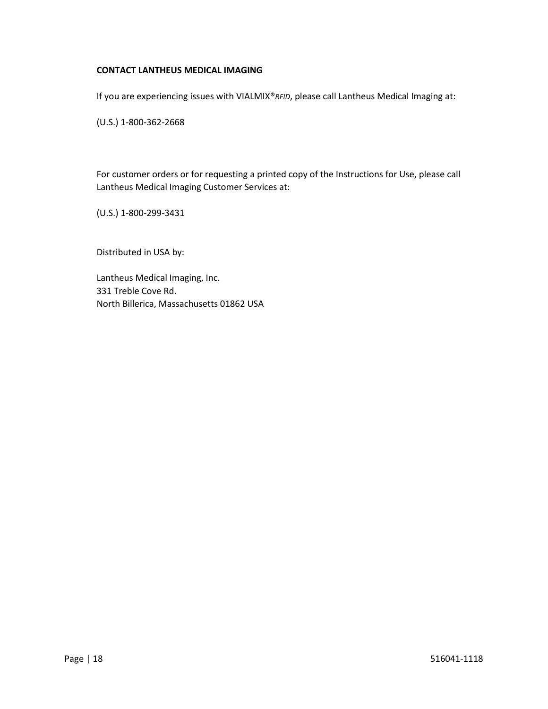#### **CONTACT LANTHEUS MEDICAL IMAGING**

If you are experiencing issues with VIALMIX®*RFID*, please call Lantheus Medical Imaging at:

(U.S.) 1-800-362-2668

For customer orders or for requesting a printed copy of the Instructions for Use, please call Lantheus Medical Imaging Customer Services at:

(U.S.) 1-800-299-3431

Distributed in USA by:

Lantheus Medical Imaging, Inc. 331 Treble Cove Rd. North Billerica, Massachusetts 01862 USA